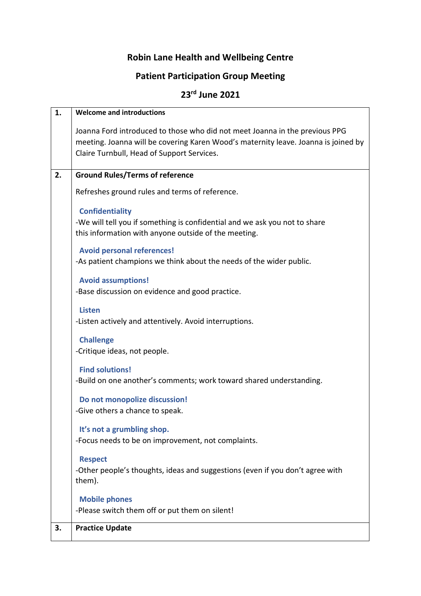## **Robin Lane Health and Wellbeing Centre**

## **Patient Participation Group Meeting**

## **23rd June 2021**

| 1. | <b>Welcome and introductions</b>                                                   |
|----|------------------------------------------------------------------------------------|
|    | Joanna Ford introduced to those who did not meet Joanna in the previous PPG        |
|    | meeting. Joanna will be covering Karen Wood's maternity leave. Joanna is joined by |
|    | Claire Turnbull, Head of Support Services.                                         |
|    |                                                                                    |
| 2. | <b>Ground Rules/Terms of reference</b>                                             |
|    | Refreshes ground rules and terms of reference.                                     |
|    | <b>Confidentiality</b>                                                             |
|    | -We will tell you if something is confidential and we ask you not to share         |
|    | this information with anyone outside of the meeting.                               |
|    |                                                                                    |
|    | <b>Avoid personal references!</b>                                                  |
|    | -As patient champions we think about the needs of the wider public.                |
|    | <b>Avoid assumptions!</b>                                                          |
|    | -Base discussion on evidence and good practice.                                    |
|    |                                                                                    |
|    | <b>Listen</b>                                                                      |
|    | -Listen actively and attentively. Avoid interruptions.                             |
|    | <b>Challenge</b>                                                                   |
|    | -Critique ideas, not people.                                                       |
|    |                                                                                    |
|    | <b>Find solutions!</b>                                                             |
|    | -Build on one another's comments; work toward shared understanding.                |
|    | Do not monopolize discussion!                                                      |
|    | -Give others a chance to speak.                                                    |
|    |                                                                                    |
|    | It's not a grumbling shop.                                                         |
|    | -Focus needs to be on improvement, not complaints.                                 |
|    | <b>Respect</b>                                                                     |
|    | -Other people's thoughts, ideas and suggestions (even if you don't agree with      |
|    | them).                                                                             |
|    | <b>Mobile phones</b>                                                               |
|    | -Please switch them off or put them on silent!                                     |
| 3. | <b>Practice Update</b>                                                             |
|    |                                                                                    |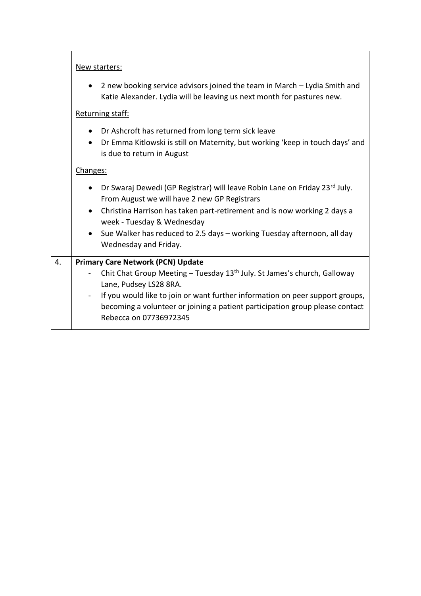|    | New starters:                                                                                                                                                                                             |  |  |
|----|-----------------------------------------------------------------------------------------------------------------------------------------------------------------------------------------------------------|--|--|
|    | 2 new booking service advisors joined the team in March – Lydia Smith and<br>$\bullet$<br>Katie Alexander. Lydia will be leaving us next month for pastures new.                                          |  |  |
|    | Returning staff:                                                                                                                                                                                          |  |  |
|    | Dr Ashcroft has returned from long term sick leave<br>Dr Emma Kitlowski is still on Maternity, but working 'keep in touch days' and<br>is due to return in August                                         |  |  |
|    | Changes:                                                                                                                                                                                                  |  |  |
|    | Dr Swaraj Dewedi (GP Registrar) will leave Robin Lane on Friday 23rd July.<br>From August we will have 2 new GP Registrars                                                                                |  |  |
|    | • Christina Harrison has taken part-retirement and is now working 2 days a<br>week - Tuesday & Wednesday                                                                                                  |  |  |
|    | • Sue Walker has reduced to 2.5 days - working Tuesday afternoon, all day<br>Wednesday and Friday.                                                                                                        |  |  |
| 4. | <b>Primary Care Network (PCN) Update</b>                                                                                                                                                                  |  |  |
|    | Chit Chat Group Meeting - Tuesday 13 <sup>th</sup> July. St James's church, Galloway<br>Lane, Pudsey LS28 8RA.                                                                                            |  |  |
|    | If you would like to join or want further information on peer support groups,<br>$\blacksquare$<br>becoming a volunteer or joining a patient participation group please contact<br>Rebecca on 07736972345 |  |  |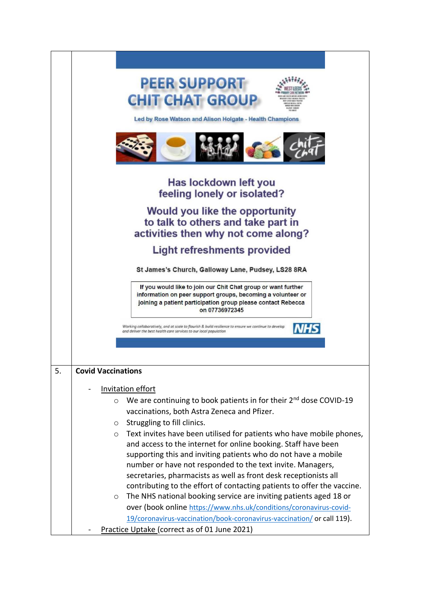|    | <b>PEER SUPPORT</b><br><b>CHIT CHAT GROUP</b>                                                                                                                                                                  |
|----|----------------------------------------------------------------------------------------------------------------------------------------------------------------------------------------------------------------|
|    | Led by Rose Watson and Alison Holgate - Health Champions                                                                                                                                                       |
|    |                                                                                                                                                                                                                |
|    | Has lockdown left you<br>feeling lonely or isolated?                                                                                                                                                           |
|    | Would you like the opportunity<br>to talk to others and take part in<br>activities then why not come along?                                                                                                    |
|    | <b>Light refreshments provided</b>                                                                                                                                                                             |
|    | St James's Church, Galloway Lane, Pudsey, LS28 8RA                                                                                                                                                             |
|    | If you would like to join our Chit Chat group or want further<br>information on peer support groups, becoming a volunteer or<br>joining a patient participation group please contact Rebecca<br>on 07736972345 |
|    | Working collaboratively, and at scale to flourish & build resilience to ensure we continue to develop<br>and deliver the best health care services to our local population                                     |
|    |                                                                                                                                                                                                                |
|    |                                                                                                                                                                                                                |
| 5. | <b>Covid Vaccinations</b>                                                                                                                                                                                      |
|    | <b>Invitation effort</b>                                                                                                                                                                                       |
|    | We are continuing to book patients in for their $2^{nd}$ dose COVID-19<br>$\circ$<br>vaccinations, both Astra Zeneca and Pfizer.                                                                               |
|    | Struggling to fill clinics.<br>O                                                                                                                                                                               |
|    | Text invites have been utilised for patients who have mobile phones,<br>$\circ$                                                                                                                                |
|    | and access to the internet for online booking. Staff have been                                                                                                                                                 |
|    | supporting this and inviting patients who do not have a mobile<br>number or have not responded to the text invite. Managers,                                                                                   |
|    | secretaries, pharmacists as well as front desk receptionists all                                                                                                                                               |
|    | contributing to the effort of contacting patients to offer the vaccine.                                                                                                                                        |
|    | The NHS national booking service are inviting patients aged 18 or<br>O<br>over (book online https://www.nhs.uk/conditions/coronavirus-covid-                                                                   |
|    | 19/coronavirus-vaccination/book-coronavirus-vaccination/ or call 119).                                                                                                                                         |
|    | Practice Uptake (correct as of 01 June 2021)                                                                                                                                                                   |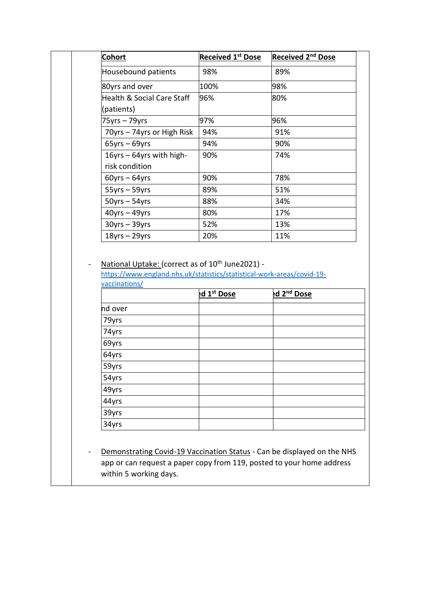| <b>Cohort</b>                                                                                                                          | <b>Received 1st Dose</b> | Received 2 <sup>nd</sup> Dose |
|----------------------------------------------------------------------------------------------------------------------------------------|--------------------------|-------------------------------|
| Housebound patients                                                                                                                    | 98%                      | 89%                           |
| 80yrs and over                                                                                                                         | 100%                     | 98%                           |
| Health & Social Care Staff                                                                                                             | 96%                      | 80%                           |
| (patients)                                                                                                                             |                          |                               |
| 75yrs – 79yrs                                                                                                                          | 97%                      | 96%                           |
| 70yrs - 74yrs or High Risk                                                                                                             | 94%                      | 91%                           |
| $65$ yrs – $69$ yrs                                                                                                                    | 94%                      | 90%                           |
| 16yrs - 64yrs with high-                                                                                                               | 90%                      | 74%                           |
| risk condition                                                                                                                         |                          |                               |
| $60$ yrs – $64$ yrs                                                                                                                    | 90%                      | 78%                           |
| $55yrs - 59yrs$                                                                                                                        | 89%                      | 51%                           |
| $50yrs - 54yrs$                                                                                                                        | 88%                      | 34%                           |
| $40$ yrs - $49$ yrs                                                                                                                    | 80%                      | 17%                           |
| $30yrs - 39yrs$                                                                                                                        | 52%                      | 13%                           |
| $18$ yrs - 29yrs                                                                                                                       | 20%                      | 11%                           |
| National Uptake: (correct as of 10 <sup>th</sup> June2021) -<br>https://www.england.nhs.uk/statistics/statistical-work-areas/covid-19- |                          |                               |
| vaccinations/                                                                                                                          |                          |                               |
|                                                                                                                                        | ed 1 <sup>st</sup> Dose  | ed 2 <sup>nd</sup> Dose       |
| nd over                                                                                                                                |                          |                               |
| 79yrs                                                                                                                                  |                          |                               |
| 74yrs                                                                                                                                  |                          |                               |
| 69yrs                                                                                                                                  |                          |                               |
| 64yrs                                                                                                                                  |                          |                               |
| 59yrs                                                                                                                                  |                          |                               |
| 54yrs                                                                                                                                  |                          |                               |
| 49yrs                                                                                                                                  |                          |                               |
| 44yrs                                                                                                                                  |                          |                               |
| 39yrs                                                                                                                                  |                          |                               |
| 34yrs                                                                                                                                  |                          |                               |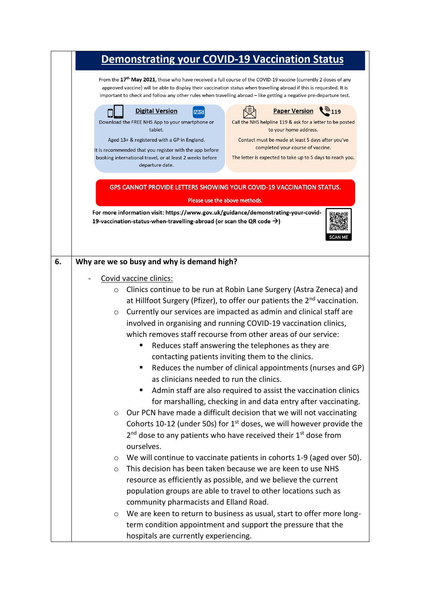|    | <b>Demonstrating your COVID-19 Vaccination Status</b>                                                                                                                                                                                                                                                                                                                                                                                                                                                                                                                       |  |  |
|----|-----------------------------------------------------------------------------------------------------------------------------------------------------------------------------------------------------------------------------------------------------------------------------------------------------------------------------------------------------------------------------------------------------------------------------------------------------------------------------------------------------------------------------------------------------------------------------|--|--|
|    | From the 17 <sup>th</sup> May 2021, those who have received a full course of the COVID-19 vaccine (currently 2 doses of any<br>approved vaccine) will be able to display their vaccination status when travelling abroad if this is requested. It is<br>important to check and follow any other rules when travelling abroad – like getting a negative pre-departure test.                                                                                                                                                                                                  |  |  |
|    | <b>Digital Version</b><br><b>Paper Version</b><br>119 (رو<br><b>NHS</b><br>Download the FREE NHS App to your smartphone or<br>Call the NHS helpline 119 & ask for a letter to be posted<br>tablet.<br>to your home address.<br>Aged 13+ & registered with a GP in England.<br>Contact must be made at least 5 days after you've<br>completed your course of vaccine.<br>It is recommended that you register with the app before<br>The letter is expected to take up to 5 days to reach you.<br>booking international travel, or at least 2 weeks before<br>departure date. |  |  |
|    | <b>GPS CANNOT PROVIDE LETTERS SHOWING YOUR COVID-19 VACCINATION STATUS.</b>                                                                                                                                                                                                                                                                                                                                                                                                                                                                                                 |  |  |
|    | Please use the above methods.                                                                                                                                                                                                                                                                                                                                                                                                                                                                                                                                               |  |  |
|    | For more information visit: https://www.gov.uk/guidance/demonstrating-your-covid-<br>19-vaccination-status-when-travelling-abroad (or scan the QR code $\rightarrow$ )                                                                                                                                                                                                                                                                                                                                                                                                      |  |  |
| 6. | Why are we so busy and why is demand high?                                                                                                                                                                                                                                                                                                                                                                                                                                                                                                                                  |  |  |
|    | Covid vaccine clinics:                                                                                                                                                                                                                                                                                                                                                                                                                                                                                                                                                      |  |  |
|    | Clinics continue to be run at Robin Lane Surgery (Astra Zeneca) and<br>$\circ$                                                                                                                                                                                                                                                                                                                                                                                                                                                                                              |  |  |
|    | at Hillfoot Surgery (Pfizer), to offer our patients the 2 <sup>nd</sup> vaccination.                                                                                                                                                                                                                                                                                                                                                                                                                                                                                        |  |  |
|    | Currently our services are impacted as admin and clinical staff are<br>$\circ$                                                                                                                                                                                                                                                                                                                                                                                                                                                                                              |  |  |
|    | involved in organising and running COVID-19 vaccination clinics,                                                                                                                                                                                                                                                                                                                                                                                                                                                                                                            |  |  |
|    | which removes staff recourse from other areas of our service:                                                                                                                                                                                                                                                                                                                                                                                                                                                                                                               |  |  |
|    | Reduces staff answering the telephones as they are                                                                                                                                                                                                                                                                                                                                                                                                                                                                                                                          |  |  |
|    | contacting patients inviting them to the clinics.                                                                                                                                                                                                                                                                                                                                                                                                                                                                                                                           |  |  |
|    | Reduces the number of clinical appointments (nurses and GP)                                                                                                                                                                                                                                                                                                                                                                                                                                                                                                                 |  |  |
|    | as clinicians needed to run the clinics.                                                                                                                                                                                                                                                                                                                                                                                                                                                                                                                                    |  |  |
|    | Admin staff are also required to assist the vaccination clinics<br>ш                                                                                                                                                                                                                                                                                                                                                                                                                                                                                                        |  |  |
|    | for marshalling, checking in and data entry after vaccinating.<br>Our PCN have made a difficult decision that we will not vaccinating<br>$\circ$                                                                                                                                                                                                                                                                                                                                                                                                                            |  |  |
|    | Cohorts 10-12 (under 50s) for $1st$ doses, we will however provide the                                                                                                                                                                                                                                                                                                                                                                                                                                                                                                      |  |  |
|    | 2 <sup>nd</sup> dose to any patients who have received their 1 <sup>st</sup> dose from                                                                                                                                                                                                                                                                                                                                                                                                                                                                                      |  |  |
|    | ourselves.                                                                                                                                                                                                                                                                                                                                                                                                                                                                                                                                                                  |  |  |
|    | We will continue to vaccinate patients in cohorts 1-9 (aged over 50).<br>$\circ$                                                                                                                                                                                                                                                                                                                                                                                                                                                                                            |  |  |
|    | This decision has been taken because we are keen to use NHS<br>$\circ$                                                                                                                                                                                                                                                                                                                                                                                                                                                                                                      |  |  |
|    | resource as efficiently as possible, and we believe the current                                                                                                                                                                                                                                                                                                                                                                                                                                                                                                             |  |  |
|    | population groups are able to travel to other locations such as                                                                                                                                                                                                                                                                                                                                                                                                                                                                                                             |  |  |
|    | community pharmacists and Elland Road.                                                                                                                                                                                                                                                                                                                                                                                                                                                                                                                                      |  |  |
|    | We are keen to return to business as usual, start to offer more long-<br>$\circ$                                                                                                                                                                                                                                                                                                                                                                                                                                                                                            |  |  |
|    | term condition appointment and support the pressure that the                                                                                                                                                                                                                                                                                                                                                                                                                                                                                                                |  |  |
|    | hospitals are currently experiencing.                                                                                                                                                                                                                                                                                                                                                                                                                                                                                                                                       |  |  |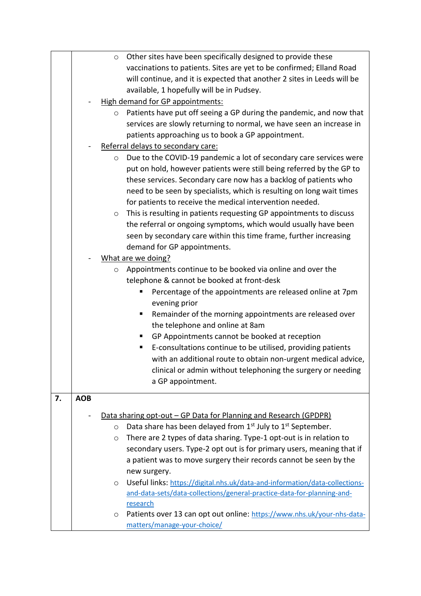|    |            | Other sites have been specifically designed to provide these<br>$\circ$                        |
|----|------------|------------------------------------------------------------------------------------------------|
|    |            | vaccinations to patients. Sites are yet to be confirmed; Elland Road                           |
|    |            | will continue, and it is expected that another 2 sites in Leeds will be                        |
|    |            | available, 1 hopefully will be in Pudsey.                                                      |
|    |            | High demand for GP appointments:                                                               |
|    |            | Patients have put off seeing a GP during the pandemic, and now that<br>$\circ$                 |
|    |            | services are slowly returning to normal, we have seen an increase in                           |
|    |            | patients approaching us to book a GP appointment.                                              |
|    |            | Referral delays to secondary care:                                                             |
|    |            | Due to the COVID-19 pandemic a lot of secondary care services were<br>$\circ$                  |
|    |            | put on hold, however patients were still being referred by the GP to                           |
|    |            | these services. Secondary care now has a backlog of patients who                               |
|    |            | need to be seen by specialists, which is resulting on long wait times                          |
|    |            | for patients to receive the medical intervention needed.                                       |
|    |            | This is resulting in patients requesting GP appointments to discuss<br>$\circ$                 |
|    |            | the referral or ongoing symptoms, which would usually have been                                |
|    |            | seen by secondary care within this time frame, further increasing                              |
|    |            | demand for GP appointments.                                                                    |
|    |            | What are we doing?                                                                             |
|    |            | Appointments continue to be booked via online and over the<br>$\circ$                          |
|    |            | telephone & cannot be booked at front-desk                                                     |
|    |            | Percentage of the appointments are released online at 7pm                                      |
|    |            | evening prior                                                                                  |
|    |            | Remainder of the morning appointments are released over<br>ш                                   |
|    |            | the telephone and online at 8am                                                                |
|    |            | GP Appointments cannot be booked at reception                                                  |
|    |            | E-consultations continue to be utilised, providing patients<br>ш                               |
|    |            | with an additional route to obtain non-urgent medical advice,                                  |
|    |            | clinical or admin without telephoning the surgery or needing                                   |
|    |            | a GP appointment.                                                                              |
|    |            |                                                                                                |
| 7. | <b>AOB</b> |                                                                                                |
|    |            | Data sharing opt-out – GP Data for Planning and Research (GPDPR)                               |
|    |            | Data share has been delayed from 1 <sup>st</sup> July to 1 <sup>st</sup> September.<br>$\circ$ |
|    |            | There are 2 types of data sharing. Type-1 opt-out is in relation to<br>$\circ$                 |
|    |            | secondary users. Type-2 opt out is for primary users, meaning that if                          |
|    |            | a patient was to move surgery their records cannot be seen by the                              |
|    |            | new surgery.                                                                                   |
|    |            | Useful links: https://digital.nhs.uk/data-and-information/data-collections-<br>O               |
|    |            | and-data-sets/data-collections/general-practice-data-for-planning-and-                         |
|    |            | research                                                                                       |
|    |            | Patients over 13 can opt out online: https://www.nhs.uk/your-nhs-data-<br>O                    |
|    |            | matters/manage-your-choice/                                                                    |